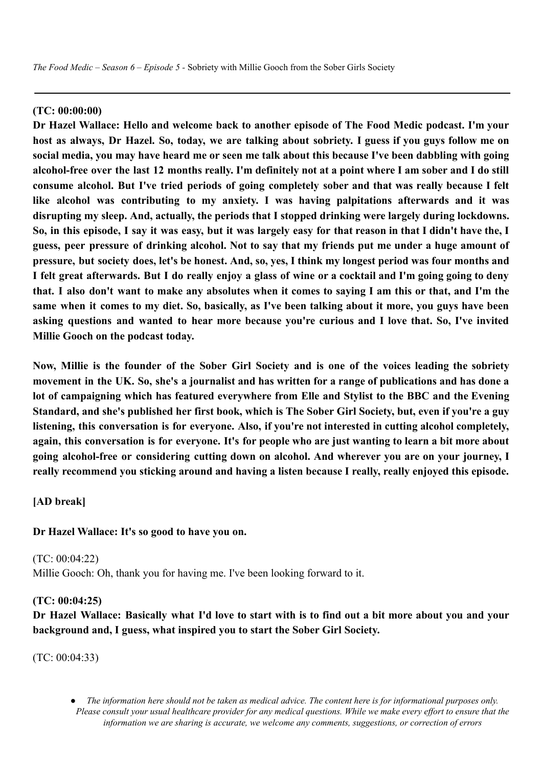*The Food Medic – Season 6 – Episode 5 -* Sobriety with Millie Gooch from the Sober Girls Society

# **(TC: 00:00:00)**

**Dr Hazel Wallace: Hello and welcome back to another episode of The Food Medic podcast. I'm your** host as always, Dr Hazel, So, today, we are talking about sobriety. I guess if you guys follow me on social media, you may have heard me or seen me talk about this because I've been dabbling with going alcohol-free over the last 12 months really. I'm definitely not at a point where I am sober and I do still **consume alcohol. But I've tried periods of going completely sober and that was really because I felt like alcohol was contributing to my anxiety. I was having palpitations afterwards and it was disrupting my sleep. And, actually, the periods that I stopped drinking were largely during lockdowns.** So, in this episode, I say it was easy, but it was largely easy for that reason in that I didn't have the, I guess, peer pressure of drinking alcohol. Not to say that my friends put me under a huge amount of pressure, but society does, let's be honest. And, so, yes, I think my longest period was four months and I felt great afterwards. But I do really eniov a glass of wine or a cocktail and I'm going going to deny that. I also don't want to make any absolutes when it comes to saying I am this or that, and I'm the same when it comes to my diet. So, basically, as I've been talking about it more, you guys have been **asking questions and wanted to hear more because you're curious and I love that. So, I've invited Millie Gooch on the podcast today.**

Now, Millie is the founder of the Sober Girl Society and is one of the voices leading the sobriety movement in the UK. So, she's a journalist and has written for a range of publications and has done a **lot of campaigning which has featured everywhere from Elle and Stylist to the BBC and the Evening** Standard, and she's published her first book, which is The Sober Girl Society, but, even if you're a guy **listening, this conversation is for everyone. Also, if you're not interested in cutting alcohol completely,** again, this conversation is for everyone. It's for people who are just wanting to learn a bit more about **going alcohol-free or considering cutting down on alcohol. And wherever you are on your journey, I really recommend you sticking around and having a listen because I really, really enjoyed this episode.**

**[AD break]**

**Dr Hazel Wallace: It's so good to have you on.**

(TC: 00:04:22) Millie Gooch: Oh, thank you for having me. I've been looking forward to it.

### **(TC: 00:04:25)**

Dr Hazel Wallace: Basically what I'd love to start with is to find out a bit more about you and your **background and, I guess, what inspired you to start the Sober Girl Society.**

(TC: 00:04:33)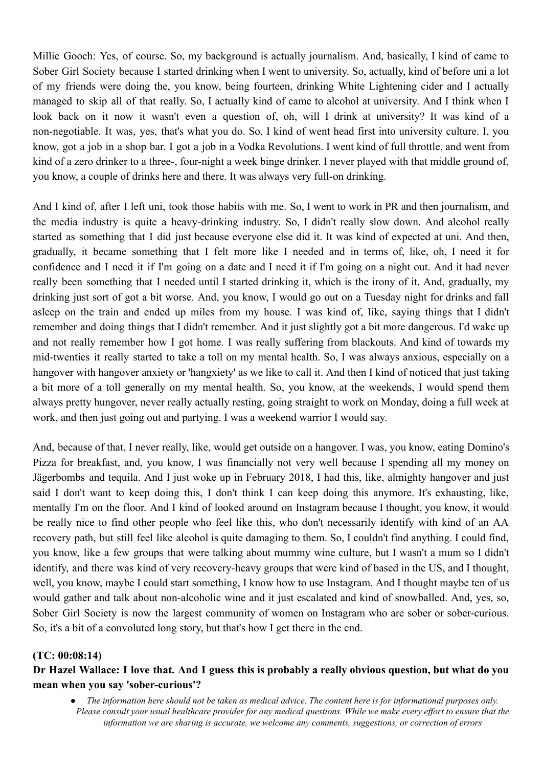Millie Gooch: Yes, of course. So, my background is actually journalism. And, basically, I kind of came to Sober Girl Society because I started drinking when I went to university. So, actually, kind of before uni a lot of my friends were doing the, you know, being fourteen, drinking White Lightening cider and I actually managed to skip all of that really. So, I actually kind of came to alcohol at university. And I think when I look back on it now it wasn't even a question of, oh, will I drink at university? It was kind of a non-negotiable. It was, yes, that's what you do. So, I kind of went head first into university culture. I, you know, got a job in a shop bar. I got a job in a Vodka Revolutions. I went kind of full throttle, and went from kind of a zero drinker to a three-, four-night a week binge drinker. I never played with that middle ground of, you know, a couple of drinks here and there. It was always very full-on drinking.

And I kind of, after I left uni, took those habits with me. So, I went to work in PR and then journalism, and the media industry is quite a heavy-drinking industry. So, I didn't really slow down. And alcohol really started as something that I did just because everyone else did it. It was kind of expected at uni. And then, gradually, it became something that I felt more like I needed and in terms of, like, oh, I need it for confidence and I need it if I'm going on a date and I need it if I'm going on a night out. And it had never really been something that I needed until I started drinking it, which is the irony of it. And, gradually, my drinking just sort of got a bit worse. And, you know, I would go out on a Tuesday night for drinks and fall asleep on the train and ended up miles from my house. I was kind of, like, saying things that I didn't remember and doing things that I didn't remember. And it just slightly got a bit more dangerous. I'd wake up and not really remember how I got home. I was really suffering from blackouts. And kind of towards my mid-twenties it really started to take a toll on my mental health. So, I was always anxious, especially on a hangover with hangover anxiety or 'hangxiety' as we like to call it. And then I kind of noticed that just taking a bit more of a toll generally on my mental health. So, you know, at the weekends, I would spend them always pretty hungover, never really actually resting, going straight to work on Monday, doing a full week at work, and then just going out and partying. I was a weekend warrior I would say.

And, because of that, I never really, like, would get outside on a hangover. I was, you know, eating Domino's Pizza for breakfast, and, you know, I was financially not very well because I spending all my money on Jägerbombs and tequila. And I just woke up in February 2018, I had this, like, almighty hangover and just said I don't want to keep doing this, I don't think I can keep doing this anymore. It's exhausting, like, mentally I'm on the floor. And I kind of looked around on Instagram because I thought, you know, it would be really nice to find other people who feel like this, who don't necessarily identify with kind of an AA recovery path, but still feel like alcohol is quite damaging to them. So, I couldn't find anything. I could find, you know, like a few groups that were talking about mummy wine culture, but I wasn't a mum so I didn't identify, and there was kind of very recovery-heavy groups that were kind of based in the US, and I thought, well, you know, maybe I could start something, I know how to use Instagram. And I thought maybe ten of us would gather and talk about non-alcoholic wine and it just escalated and kind of snowballed. And, yes, so, Sober Girl Society is now the largest community of women on Instagram who are sober or sober-curious. So, it's a bit of a convoluted long story, but that's how I get there in the end.

### **(TC: 00:08:14)**

# Dr Hazel Wallace: I love that. And I guess this is probably a really obvious question, but what do you **mean when you say 'sober-curious'?**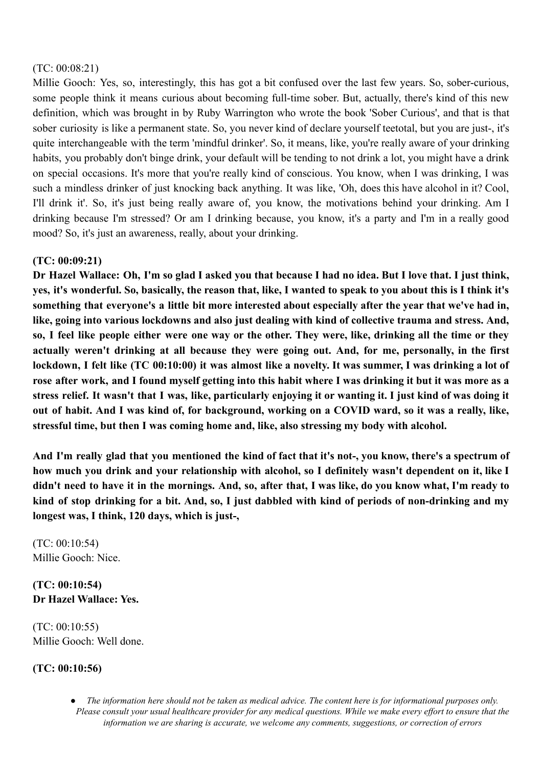### (TC: 00:08:21)

Millie Gooch: Yes, so, interestingly, this has got a bit confused over the last few years. So, sober-curious, some people think it means curious about becoming full-time sober. But, actually, there's kind of this new definition, which was brought in by Ruby Warrington who wrote the book 'Sober Curious', and that is that sober curiosity is like a permanent state. So, you never kind of declare yourself teetotal, but you are just-, it's quite interchangeable with the term 'mindful drinker'. So, it means, like, you're really aware of your drinking habits, you probably don't binge drink, your default will be tending to not drink a lot, you might have a drink on special occasions. It's more that you're really kind of conscious. You know, when I was drinking, I was such a mindless drinker of just knocking back anything. It was like, 'Oh, does this have alcohol in it? Cool, I'll drink it'. So, it's just being really aware of, you know, the motivations behind your drinking. Am I drinking because I'm stressed? Or am I drinking because, you know, it's a party and I'm in a really good mood? So, it's just an awareness, really, about your drinking.

### **(TC: 00:09:21)**

Dr Hazel Wallace: Oh, I'm so glad I asked you that because I had no idea. But I love that. I just think, yes, it's wonderful. So, basically, the reason that, like, I wanted to speak to you about this is I think it's **something that everyone's a little bit more interested about especially after the year that we've had in, like, going into various lockdowns and also just dealing with kind of collective trauma and stress. And,** so, I feel like people either were one way or the other. They were, like, drinking all the time or they **actually weren't drinking at all because they were going out. And, for me, personally, in the first** lockdown, I felt like (TC 00:10:00) it was almost like a novelty. It was summer, I was drinking a lot of rose after work, and I found myself getting into this habit where I was drinking it but it was more as a stress relief. It wasn't that I was, like, particularly enjoying it or wanting it. I just kind of was doing it out of habit. And I was kind of, for background, working on a COVID ward, so it was a really, like, **stressful time, but then I was coming home and, like, also stressing my body with alcohol.**

And I'm really glad that you mentioned the kind of fact that it's not-, you know, there's a spectrum of how much you drink and your relationship with alcohol, so I definitely wasn't dependent on it, like I didn't need to have it in the mornings. And, so, after that, I was like, do you know what, I'm ready to kind of stop drinking for a bit. And, so, I just dabbled with kind of periods of non-drinking and my **longest was, I think, 120 days, which is just-,**

(TC: 00:10:54) Millie Gooch: Nice.

**(TC: 00:10:54) Dr Hazel Wallace: Yes.**

(TC: 00:10:55) Millie Gooch: Well done.

### **(TC: 00:10:56)**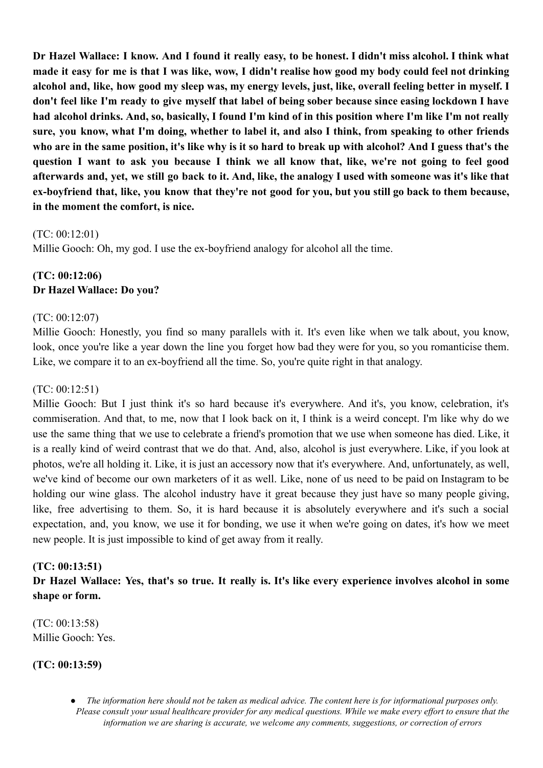Dr Hazel Wallace: I know. And I found it really easy, to be honest. I didn't miss alcohol. I think what made it easy for me is that I was like, wow, I didn't realise how good my body could feel not drinking alcohol and, like, how good my sleep was, my energy levels, just, like, overall feeling better in myself. I don't feel like I'm ready to give myself that label of being sober because since easing lockdown I have had alcohol drinks. And, so, basically, I found I'm kind of in this position where I'm like I'm not really sure, you know, what I'm doing, whether to label it, and also I think, from speaking to other friends who are in the same position, it's like why is it so hard to break up with alcohol? And I guess that's the question I want to ask you because I think we all know that, like, we're not going to feel good afterwards and, vet, we still go back to it. And, like, the analogy I used with someone was it's like that ex-boyfriend that, like, you know that they're not good for you, but you still go back to them because, **in the moment the comfort, is nice.**

### (TC: 00:12:01)

Millie Gooch: Oh, my god. I use the ex-boyfriend analogy for alcohol all the time.

# **(TC: 00:12:06) Dr Hazel Wallace: Do you?**

# (TC: 00:12:07)

Millie Gooch: Honestly, you find so many parallels with it. It's even like when we talk about, you know, look, once you're like a year down the line you forget how bad they were for you, so you romanticise them. Like, we compare it to an ex-boyfriend all the time. So, you're quite right in that analogy.

# (TC: 00:12:51)

Millie Gooch: But I just think it's so hard because it's everywhere. And it's, you know, celebration, it's commiseration. And that, to me, now that I look back on it, I think is a weird concept. I'm like why do we use the same thing that we use to celebrate a friend's promotion that we use when someone has died. Like, it is a really kind of weird contrast that we do that. And, also, alcohol is just everywhere. Like, if you look at photos, we're all holding it. Like, it is just an accessory now that it's everywhere. And, unfortunately, as well, we've kind of become our own marketers of it as well. Like, none of us need to be paid on Instagram to be holding our wine glass. The alcohol industry have it great because they just have so many people giving, like, free advertising to them. So, it is hard because it is absolutely everywhere and it's such a social expectation, and, you know, we use it for bonding, we use it when we're going on dates, it's how we meet new people. It is just impossible to kind of get away from it really.

# **(TC: 00:13:51)**

Dr Hazel Wallace: Yes, that's so true. It really is. It's like every experience involves alcohol in some **shape or form.**

(TC: 00:13:58) Millie Gooch: Yes.

# **(TC: 00:13:59)**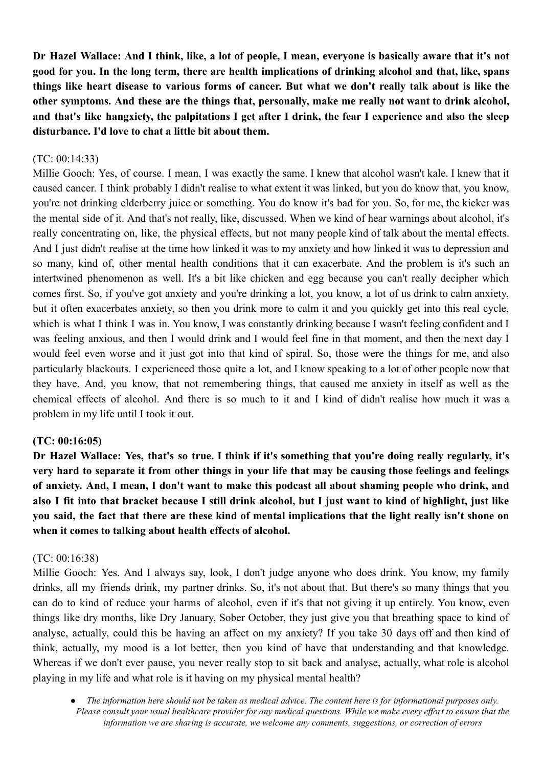Dr Hazel Wallace: And I think, like, a lot of people, I mean, everyone is basically aware that it's not good for you. In the long term, there are health implications of drinking alcohol and that, like, spans things like heart disease to various forms of cancer. But what we don't really talk about is like the **other symptoms. And these are the things that, personally, make me really not want to drink alcohol,** and that's like hangxiety, the palpitations I get after I drink, the fear I experience and also the sleep **disturbance. I'd love to chat a little bit about them.**

### $(TC: 00:14:33)$

Millie Gooch: Yes, of course. I mean, I was exactly the same. I knew that alcohol wasn't kale. I knew that it caused cancer. I think probably I didn't realise to what extent it was linked, but you do know that, you know, you're not drinking elderberry juice or something. You do know it's bad for you. So, for me, the kicker was the mental side of it. And that's not really, like, discussed. When we kind of hear warnings about alcohol, it's really concentrating on, like, the physical effects, but not many people kind of talk about the mental effects. And I just didn't realise at the time how linked it was to my anxiety and how linked it was to depression and so many, kind of, other mental health conditions that it can exacerbate. And the problem is it's such an intertwined phenomenon as well. It's a bit like chicken and egg because you can't really decipher which comes first. So, if you've got anxiety and you're drinking a lot, you know, a lot of us drink to calm anxiety, but it often exacerbates anxiety, so then you drink more to calm it and you quickly get into this real cycle, which is what I think I was in. You know, I was constantly drinking because I wasn't feeling confident and I was feeling anxious, and then I would drink and I would feel fine in that moment, and then the next day I would feel even worse and it just got into that kind of spiral. So, those were the things for me, and also particularly blackouts. I experienced those quite a lot, and I know speaking to a lot of other people now that they have. And, you know, that not remembering things, that caused me anxiety in itself as well as the chemical effects of alcohol. And there is so much to it and I kind of didn't realise how much it was a problem in my life until I took it out.

### **(TC: 00:16:05)**

Dr Hazel Wallace: Yes, that's so true. I think if it's something that you're doing really regularly, it's very hard to separate it from other things in your life that may be causing those feelings and feelings of anxiety. And, I mean, I don't want to make this podcast all about shaming people who drink, and also I fit into that bracket because I still drink alcohol, but I just want to kind of highlight, just like you said, the fact that there are these kind of mental implications that the light really isn't shone on **when it comes to talking about health effects of alcohol.**

### (TC: 00:16:38)

Millie Gooch: Yes. And I always say, look, I don't judge anyone who does drink. You know, my family drinks, all my friends drink, my partner drinks. So, it's not about that. But there's so many things that you can do to kind of reduce your harms of alcohol, even if it's that not giving it up entirely. You know, even things like dry months, like Dry January, Sober October, they just give you that breathing space to kind of analyse, actually, could this be having an affect on my anxiety? If you take 30 days off and then kind of think, actually, my mood is a lot better, then you kind of have that understanding and that knowledge. Whereas if we don't ever pause, you never really stop to sit back and analyse, actually, what role is alcohol playing in my life and what role is it having on my physical mental health?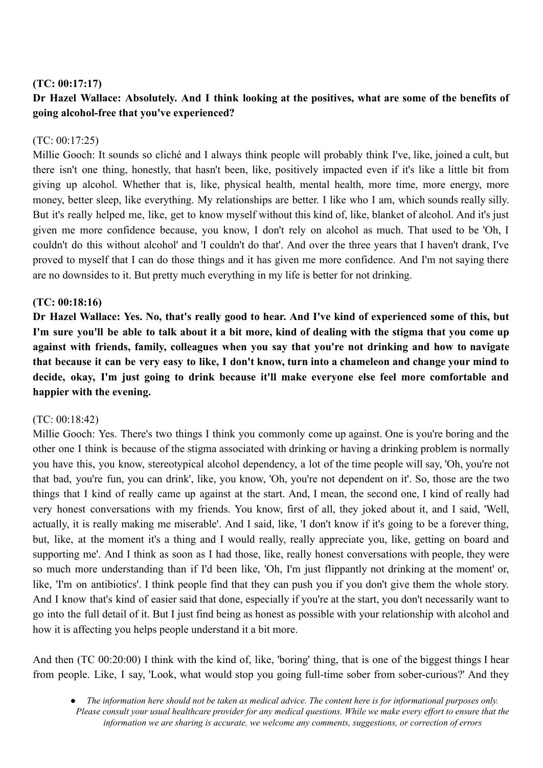# **(TC: 00:17:17)**

# Dr Hazel Wallace: Absolutely, And I think looking at the positives, what are some of the benefits of **going alcohol-free that you've experienced?**

# (TC: 00:17:25)

Millie Gooch: It sounds so cliché and I always think people will probably think I've, like, joined a cult, but there isn't one thing, honestly, that hasn't been, like, positively impacted even if it's like a little bit from giving up alcohol. Whether that is, like, physical health, mental health, more time, more energy, more money, better sleep, like everything. My relationships are better. I like who I am, which sounds really silly. But it's really helped me, like, get to know myself without this kind of, like, blanket of alcohol. And it's just given me more confidence because, you know, I don't rely on alcohol as much. That used to be 'Oh, I couldn't do this without alcohol' and 'I couldn't do that'. And over the three years that I haven't drank, I've proved to myself that I can do those things and it has given me more confidence. And I'm not saying there are no downsides to it. But pretty much everything in my life is better for not drinking.

# **(TC: 00:18:16)**

Dr Hazel Wallace: Yes. No, that's really good to hear. And I've kind of experienced some of this, but I'm sure you'll be able to talk about it a bit more, kind of dealing with the stigma that you come up **against with friends, family, colleagues when you say that you're not drinking and how to navigate** that because it can be very easy to like, I don't know, turn into a chameleon and change your mind to **decide, okay, I'm just going to drink because it'll make everyone else feel more comfortable and happier with the evening.**

# (TC: 00:18:42)

Millie Gooch: Yes. There's two things I think you commonly come up against. One is you're boring and the other one I think is because of the stigma associated with drinking or having a drinking problem is normally you have this, you know, stereotypical alcohol dependency, a lot of the time people will say, 'Oh, you're not that bad, you're fun, you can drink', like, you know, 'Oh, you're not dependent on it'. So, those are the two things that I kind of really came up against at the start. And, I mean, the second one, I kind of really had very honest conversations with my friends. You know, first of all, they joked about it, and I said, 'Well, actually, it is really making me miserable'. And I said, like, 'I don't know if it's going to be a forever thing, but, like, at the moment it's a thing and I would really, really appreciate you, like, getting on board and supporting me'. And I think as soon as I had those, like, really honest conversations with people, they were so much more understanding than if I'd been like, 'Oh, I'm just flippantly not drinking at the moment' or, like, 'I'm on antibiotics'. I think people find that they can push you if you don't give them the whole story. And I know that's kind of easier said that done, especially if you're at the start, you don't necessarily want to go into the full detail of it. But I just find being as honest as possible with your relationship with alcohol and how it is affecting you helps people understand it a bit more.

And then (TC 00:20:00) I think with the kind of, like, 'boring' thing, that is one of the biggest things I hear from people. Like, I say, 'Look, what would stop you going full-time sober from sober-curious?' And they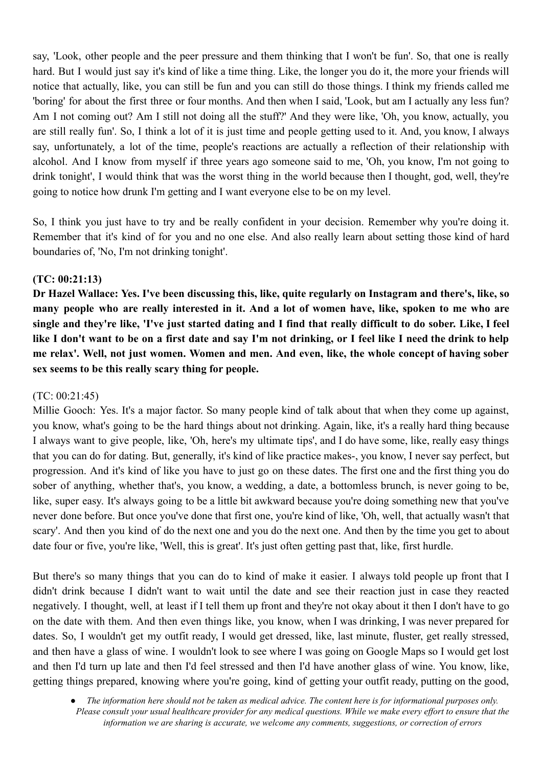say, 'Look, other people and the peer pressure and them thinking that I won't be fun'. So, that one is really hard. But I would just say it's kind of like a time thing. Like, the longer you do it, the more your friends will notice that actually, like, you can still be fun and you can still do those things. I think my friends called me 'boring' for about the first three or four months. And then when I said, 'Look, but am I actually any less fun? Am I not coming out? Am I still not doing all the stuff?' And they were like, 'Oh, you know, actually, you are still really fun'. So, I think a lot of it is just time and people getting used to it. And, you know, I always say, unfortunately, a lot of the time, people's reactions are actually a reflection of their relationship with alcohol. And I know from myself if three years ago someone said to me, 'Oh, you know, I'm not going to drink tonight', I would think that was the worst thing in the world because then I thought, god, well, they're going to notice how drunk I'm getting and I want everyone else to be on my level.

So, I think you just have to try and be really confident in your decision. Remember why you're doing it. Remember that it's kind of for you and no one else. And also really learn about setting those kind of hard boundaries of, 'No, I'm not drinking tonight'.

# **(TC: 00:21:13)**

Dr Hazel Wallace: Yes. I've been discussing this, like, quite regularly on Instagram and there's, like, so many people who are really interested in it. And a lot of women have, like, spoken to me who are single and they're like, 'I've just started dating and I find that really difficult to do sober. Like, I feel like I don't want to be on a first date and say I'm not drinking, or I feel like I need the drink to help **me relax'. Well, not just women. Women and men. And even, like, the whole concept of having sober sex seems to be this really scary thing for people.**

### (TC: 00:21:45)

Millie Gooch: Yes. It's a major factor. So many people kind of talk about that when they come up against, you know, what's going to be the hard things about not drinking. Again, like, it's a really hard thing because I always want to give people, like, 'Oh, here's my ultimate tips', and I do have some, like, really easy things that you can do for dating. But, generally, it's kind of like practice makes-, you know, I never say perfect, but progression. And it's kind of like you have to just go on these dates. The first one and the first thing you do sober of anything, whether that's, you know, a wedding, a date, a bottomless brunch, is never going to be, like, super easy. It's always going to be a little bit awkward because you're doing something new that you've never done before. But once you've done that first one, you're kind of like, 'Oh, well, that actually wasn't that scary'. And then you kind of do the next one and you do the next one. And then by the time you get to about date four or five, you're like, 'Well, this is great'. It's just often getting past that, like, first hurdle.

But there's so many things that you can do to kind of make it easier. I always told people up front that I didn't drink because I didn't want to wait until the date and see their reaction just in case they reacted negatively. I thought, well, at least if I tell them up front and they're not okay about it then I don't have to go on the date with them. And then even things like, you know, when I was drinking, I was never prepared for dates. So, I wouldn't get my outfit ready, I would get dressed, like, last minute, fluster, get really stressed, and then have a glass of wine. I wouldn't look to see where I was going on Google Maps so I would get lost and then I'd turn up late and then I'd feel stressed and then I'd have another glass of wine. You know, like, getting things prepared, knowing where you're going, kind of getting your outfit ready, putting on the good,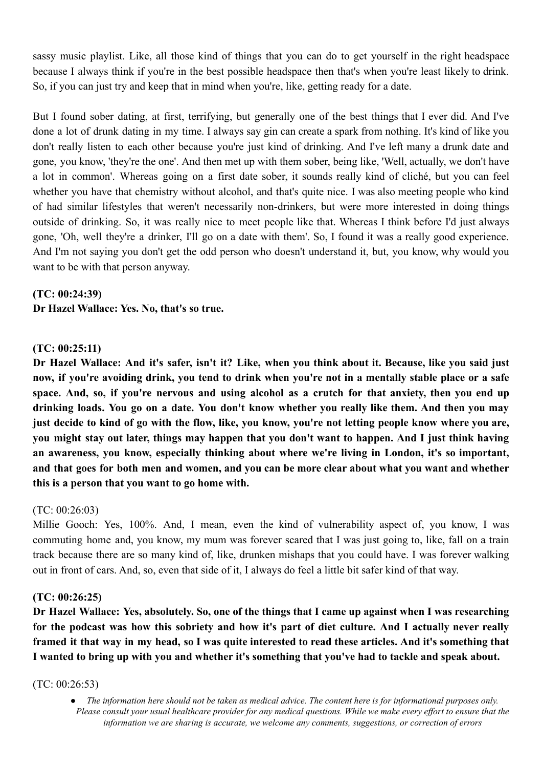sassy music playlist. Like, all those kind of things that you can do to get yourself in the right headspace because I always think if you're in the best possible headspace then that's when you're least likely to drink. So, if you can just try and keep that in mind when you're, like, getting ready for a date.

But I found sober dating, at first, terrifying, but generally one of the best things that I ever did. And I've done a lot of drunk dating in my time. I always say gin can create a spark from nothing. It's kind of like you don't really listen to each other because you're just kind of drinking. And I've left many a drunk date and gone, you know, 'they're the one'. And then met up with them sober, being like, 'Well, actually, we don't have a lot in common'. Whereas going on a first date sober, it sounds really kind of cliché, but you can feel whether you have that chemistry without alcohol, and that's quite nice. I was also meeting people who kind of had similar lifestyles that weren't necessarily non-drinkers, but were more interested in doing things outside of drinking. So, it was really nice to meet people like that. Whereas I think before I'd just always gone, 'Oh, well they're a drinker, I'll go on a date with them'. So, I found it was a really good experience. And I'm not saying you don't get the odd person who doesn't understand it, but, you know, why would you want to be with that person anyway.

**(TC: 00:24:39) Dr Hazel Wallace: Yes. No, that's so true.**

### **(TC: 00:25:11)**

Dr Hazel Wallace: And it's safer, isn't it? Like, when you think about it. Because, like you said just now, if you're avoiding drink, you tend to drink when you're not in a mentally stable place or a safe space. And, so, if you're nervous and using alcohol as a crutch for that anxiety, then you end up drinking loads. You go on a date. You don't know whether you really like them. And then you may just decide to kind of go with the flow, like, you know, you're not letting people know where you are, you might stay out later, things may happen that you don't want to happen. And I just think having **an awareness, you know, especially thinking about where we're living in London, it's so important,** and that goes for both men and women, and you can be more clear about what you want and whether **this is a person that you want to go home with.**

#### (TC: 00:26:03)

Millie Gooch: Yes, 100%. And, I mean, even the kind of vulnerability aspect of, you know, I was commuting home and, you know, my mum was forever scared that I was just going to, like, fall on a train track because there are so many kind of, like, drunken mishaps that you could have. I was forever walking out in front of cars. And, so, even that side of it, I always do feel a little bit safer kind of that way.

#### **(TC: 00:26:25)**

Dr Hazel Wallace: Yes, absolutely. So, one of the things that I came up against when I was researching for the podcast was how this sobriety and how it's part of diet culture. And I actually never really framed it that way in my head, so I was quite interested to read these articles. And it's something that **I wanted to bring up with you and whether it's something that you've had to tackle and speak about.**

#### (TC: 00:26:53)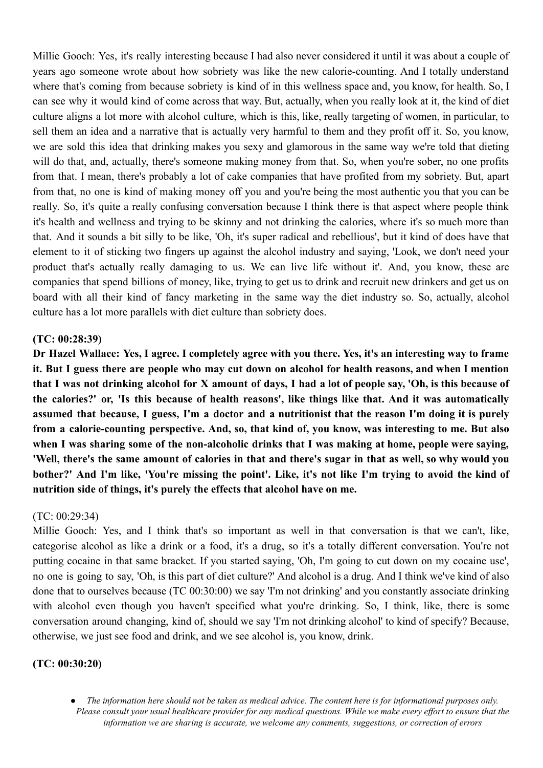Millie Gooch: Yes, it's really interesting because I had also never considered it until it was about a couple of years ago someone wrote about how sobriety was like the new calorie-counting. And I totally understand where that's coming from because sobriety is kind of in this wellness space and, you know, for health. So, I can see why it would kind of come across that way. But, actually, when you really look at it, the kind of diet culture aligns a lot more with alcohol culture, which is this, like, really targeting of women, in particular, to sell them an idea and a narrative that is actually very harmful to them and they profit off it. So, you know, we are sold this idea that drinking makes you sexy and glamorous in the same way we're told that dieting will do that, and, actually, there's someone making money from that. So, when you're sober, no one profits from that. I mean, there's probably a lot of cake companies that have profited from my sobriety. But, apart from that, no one is kind of making money off you and you're being the most authentic you that you can be really. So, it's quite a really confusing conversation because I think there is that aspect where people think it's health and wellness and trying to be skinny and not drinking the calories, where it's so much more than that. And it sounds a bit silly to be like, 'Oh, it's super radical and rebellious', but it kind of does have that element to it of sticking two fingers up against the alcohol industry and saying, 'Look, we don't need your product that's actually really damaging to us. We can live life without it'. And, you know, these are companies that spend billions of money, like, trying to get us to drink and recruit new drinkers and get us on board with all their kind of fancy marketing in the same way the diet industry so. So, actually, alcohol culture has a lot more parallels with diet culture than sobriety does.

### **(TC: 00:28:39)**

Dr Hazel Wallace: Yes, I agree. I completely agree with you there. Yes, it's an interesting way to frame it. But I guess there are people who may cut down on alcohol for health reasons, and when I mention that I was not drinking alcohol for X amount of days, I had a lot of people say, 'Oh, is this because of **the calories?' or, 'Is this because of health reasons', like things like that. And it was automatically** assumed that because, I guess, I'm a doctor and a nutritionist that the reason I'm doing it is purely **from a calorie-counting perspective. And, so, that kind of, you know, was interesting to me. But also when I was sharing some of the non-alcoholic drinks that I was making at home, people were saying,** 'Well, there's the same amount of calories in that and there's sugar in that as well, so why would you bother?' And I'm like, 'You're missing the point'. Like, it's not like I'm trying to avoid the kind of **nutrition side of things, it's purely the effects that alcohol have on me.**

#### (TC: 00:29:34)

Millie Gooch: Yes, and I think that's so important as well in that conversation is that we can't, like, categorise alcohol as like a drink or a food, it's a drug, so it's a totally different conversation. You're not putting cocaine in that same bracket. If you started saying, 'Oh, I'm going to cut down on my cocaine use', no one is going to say, 'Oh, is this part of diet culture?' And alcohol is a drug. And I think we've kind of also done that to ourselves because (TC 00:30:00) we say 'I'm not drinking' and you constantly associate drinking with alcohol even though you haven't specified what you're drinking. So, I think, like, there is some conversation around changing, kind of, should we say 'I'm not drinking alcohol' to kind of specify? Because, otherwise, we just see food and drink, and we see alcohol is, you know, drink.

### **(TC: 00:30:20)**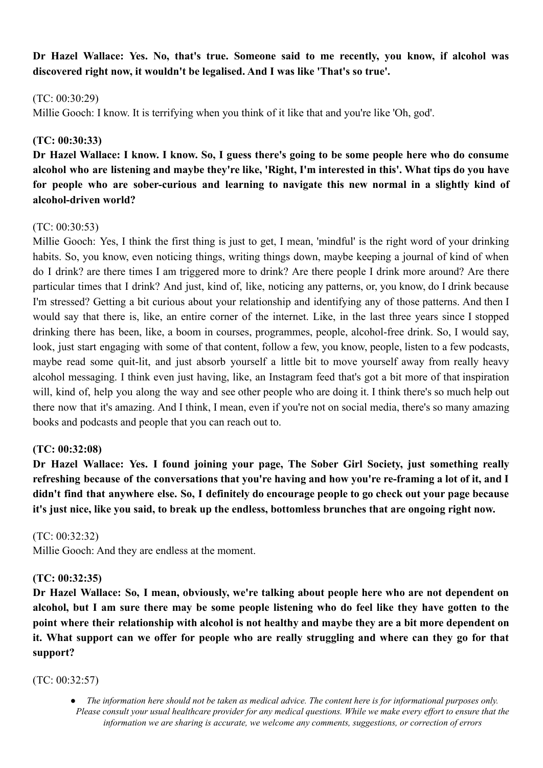**Dr Hazel Wallace: Yes. No, that's true. Someone said to me recently, you know, if alcohol was discovered right now, it wouldn't be legalised. And I was like 'That's so true'.**

### (TC: 00:30:29)

Millie Gooch: I know. It is terrifying when you think of it like that and you're like 'Oh, god'.

## **(TC: 00:30:33)**

Dr Hazel Wallace: I know. I know. So, I guess there's going to be some people here who do consume alcohol who are listening and maybe they're like, 'Right, I'm interested in this'. What tips do vou have **for people who are sober-curious and learning to navigate this new normal in a slightly kind of alcohol-driven world?**

### (TC: 00:30:53)

Millie Gooch: Yes, I think the first thing is just to get, I mean, 'mindful' is the right word of your drinking habits. So, you know, even noticing things, writing things down, maybe keeping a journal of kind of when do I drink? are there times I am triggered more to drink? Are there people I drink more around? Are there particular times that I drink? And just, kind of, like, noticing any patterns, or, you know, do I drink because I'm stressed? Getting a bit curious about your relationship and identifying any of those patterns. And then I would say that there is, like, an entire corner of the internet. Like, in the last three years since I stopped drinking there has been, like, a boom in courses, programmes, people, alcohol-free drink. So, I would say, look, just start engaging with some of that content, follow a few, you know, people, listen to a few podcasts, maybe read some quit-lit, and just absorb yourself a little bit to move yourself away from really heavy alcohol messaging. I think even just having, like, an Instagram feed that's got a bit more of that inspiration will, kind of, help you along the way and see other people who are doing it. I think there's so much help out there now that it's amazing. And I think, I mean, even if you're not on social media, there's so many amazing books and podcasts and people that you can reach out to.

### **(TC: 00:32:08)**

**Dr Hazel Wallace: Yes. I found joining your page, The Sober Girl Society, just something really** refreshing because of the conversations that you're having and how you're re-framing a lot of it, and I didn't find that anywhere else. So, I definitely do encourage people to go check out your page because **it's just nice, like you said, to break up the endless, bottomless brunches that are ongoing right now.**

### (TC: 00:32:32)

Millie Gooch: And they are endless at the moment.

### **(TC: 00:32:35)**

**Dr Hazel Wallace: So, I mean, obviously, we're talking about people here who are not dependent on** alcohol, but I am sure there may be some people listening who do feel like they have gotten to the point where their relationship with alcohol is not healthy and maybe they are a bit more dependent on it. What support can we offer for people who are really struggling and where can they go for that **support?**

(TC: 00:32:57)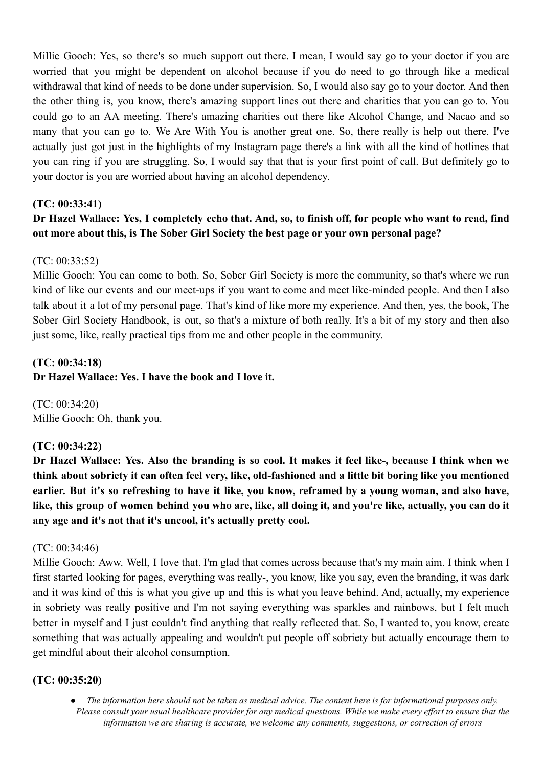Millie Gooch: Yes, so there's so much support out there. I mean, I would say go to your doctor if you are worried that you might be dependent on alcohol because if you do need to go through like a medical withdrawal that kind of needs to be done under supervision. So, I would also say go to your doctor. And then the other thing is, you know, there's amazing support lines out there and charities that you can go to. You could go to an AA meeting. There's amazing charities out there like Alcohol Change, and Nacao and so many that you can go to. We Are With You is another great one. So, there really is help out there. I've actually just got just in the highlights of my Instagram page there's a link with all the kind of hotlines that you can ring if you are struggling. So, I would say that that is your first point of call. But definitely go to your doctor is you are worried about having an alcohol dependency.

# **(TC: 00:33:41)**

# Dr Hazel Wallace: Yes, I completely echo that. And, so, to finish off, for people who want to read, find **out more about this, is The Sober Girl Society the best page or your own personal page?**

# (TC: 00:33:52)

Millie Gooch: You can come to both. So, Sober Girl Society is more the community, so that's where we run kind of like our events and our meet-ups if you want to come and meet like-minded people. And then I also talk about it a lot of my personal page. That's kind of like more my experience. And then, yes, the book, The Sober Girl Society Handbook, is out, so that's a mixture of both really. It's a bit of my story and then also just some, like, really practical tips from me and other people in the community.

# **(TC: 00:34:18)**

# **Dr Hazel Wallace: Yes. I have the book and I love it.**

(TC: 00:34:20) Millie Gooch: Oh, thank you.

# **(TC: 00:34:22)**

Dr Hazel Wallace: Yes. Also the branding is so cool. It makes it feel like-, because I think when we think about sobriety it can often feel very, like, old-fashioned and a little bit boring like you mentioned earlier. But it's so refreshing to have it like, you know, reframed by a young woman, and also have, like, this group of women behind you who are, like, all doing it, and you're like, actually, you can do it **any age and it's not that it's uncool, it's actually pretty cool.**

# (TC: 00:34:46)

Millie Gooch: Aww. Well, I love that. I'm glad that comes across because that's my main aim. I think when I first started looking for pages, everything was really-, you know, like you say, even the branding, it was dark and it was kind of this is what you give up and this is what you leave behind. And, actually, my experience in sobriety was really positive and I'm not saying everything was sparkles and rainbows, but I felt much better in myself and I just couldn't find anything that really reflected that. So, I wanted to, you know, create something that was actually appealing and wouldn't put people off sobriety but actually encourage them to get mindful about their alcohol consumption.

# **(TC: 00:35:20)**